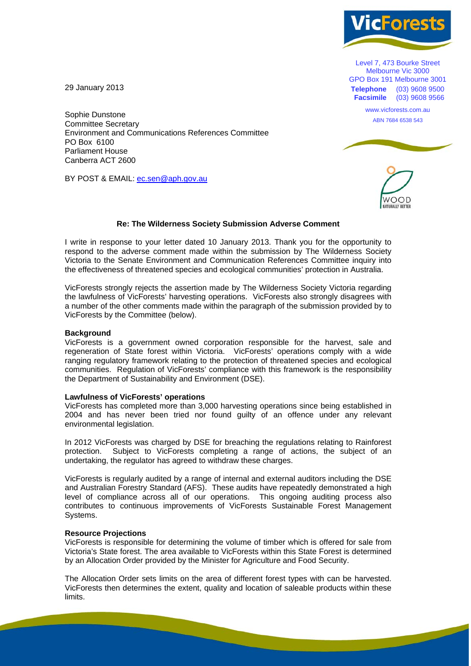

Level 7, 473 Bourke Street Melbourne Vic 3000 GPO Box 191 Melbourne 3001 **Telephone** (03) 9608 9500 **Facsimile** (03) 9608 9566

> www.vicforests.com.au ABN 7684 6538 543

29 January 2013

Sophie Dunstone Committee Secretary Environment and Communications References Committee PO Box 6100 Parliament House Canberra ACT 2600

BY POST & EMAIL: ec.sen@aph.gov.au



# **Re: The Wilderness Society Submission Adverse Comment**

I write in response to your letter dated 10 January 2013. Thank you for the opportunity to respond to the adverse comment made within the submission by The Wilderness Society Victoria to the Senate Environment and Communication References Committee inquiry into the effectiveness of threatened species and ecological communities' protection in Australia.

VicForests strongly rejects the assertion made by The Wilderness Society Victoria regarding the lawfulness of VicForests' harvesting operations. VicForests also strongly disagrees with a number of the other comments made within the paragraph of the submission provided by to VicForests by the Committee (below).

### **Background**

VicForests is a government owned corporation responsible for the harvest, sale and regeneration of State forest within Victoria. VicForests' operations comply with a wide ranging regulatory framework relating to the protection of threatened species and ecological communities. Regulation of VicForests' compliance with this framework is the responsibility the Department of Sustainability and Environment (DSE).

#### **Lawfulness of VicForests' operations**

VicForests has completed more than 3,000 harvesting operations since being established in 2004 and has never been tried nor found guilty of an offence under any relevant environmental legislation.

In 2012 VicForests was charged by DSE for breaching the regulations relating to Rainforest protection. Subject to VicForests completing a range of actions, the subject of an undertaking, the regulator has agreed to withdraw these charges.

VicForests is regularly audited by a range of internal and external auditors including the DSE and Australian Forestry Standard (AFS). These audits have repeatedly demonstrated a high level of compliance across all of our operations. This ongoing auditing process also contributes to continuous improvements of VicForests Sustainable Forest Management Systems.

#### **Resource Projections**

VicForests is responsible for determining the volume of timber which is offered for sale from Victoria's State forest. The area available to VicForests within this State Forest is determined by an Allocation Order provided by the Minister for Agriculture and Food Security.

The Allocation Order sets limits on the area of different forest types with can be harvested. VicForests then determines the extent, quality and location of saleable products within these limits.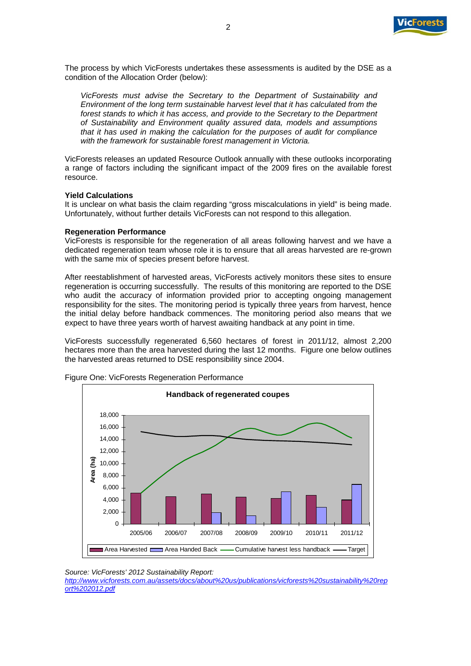

The process by which VicForests undertakes these assessments is audited by the DSE as a condition of the Allocation Order (below):

*VicForests must advise the Secretary to the Department of Sustainability and Environment of the long term sustainable harvest level that it has calculated from the forest stands to which it has access, and provide to the Secretary to the Department of Sustainability and Environment quality assured data, models and assumptions that it has used in making the calculation for the purposes of audit for compliance with the framework for sustainable forest management in Victoria.* 

VicForests releases an updated Resource Outlook annually with these outlooks incorporating a range of factors including the significant impact of the 2009 fires on the available forest resource.

### **Yield Calculations**

It is unclear on what basis the claim regarding "gross miscalculations in yield" is being made. Unfortunately, without further details VicForests can not respond to this allegation.

#### **Regeneration Performance**

VicForests is responsible for the regeneration of all areas following harvest and we have a dedicated regeneration team whose role it is to ensure that all areas harvested are re-grown with the same mix of species present before harvest.

After reestablishment of harvested areas, VicForests actively monitors these sites to ensure regeneration is occurring successfully. The results of this monitoring are reported to the DSE who audit the accuracy of information provided prior to accepting ongoing management responsibility for the sites. The monitoring period is typically three years from harvest, hence the initial delay before handback commences. The monitoring period also means that we expect to have three years worth of harvest awaiting handback at any point in time.

VicForests successfully regenerated 6,560 hectares of forest in 2011/12, almost 2,200 hectares more than the area harvested during the last 12 months. Figure one below outlines the harvested areas returned to DSE responsibility since 2004.



Figure One: VicForests Regeneration Performance

*http://www.vicforests.com.au/assets/docs/about%20us/publications/vicforests%20sustainability%20rep ort%202012.pdf* 

*Source: VicForests' 2012 Sustainability Report:*